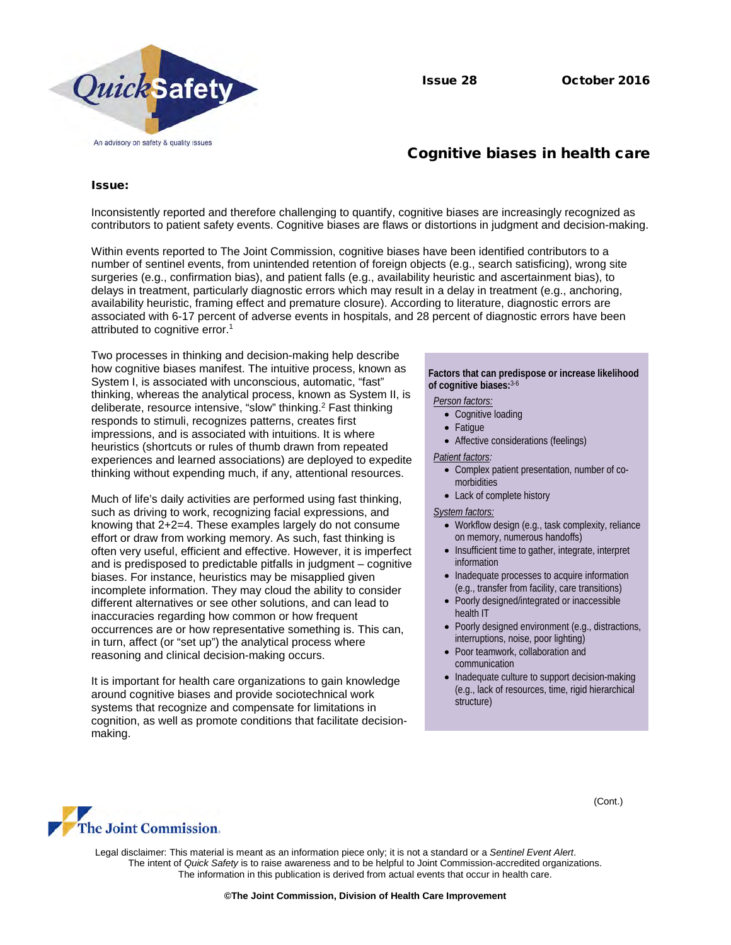

# Cognitive biases in health care

## Issue:

Inconsistently reported and therefore challenging to quantify, cognitive biases are increasingly recognized as contributors to patient safety events. Cognitive biases are flaws or distortions in judgment and decision-making.

Within events reported to The Joint Commission, cognitive biases have been identified contributors to a number of sentinel events, from unintended retention of foreign objects (e.g., search satisficing), wrong site surgeries (e.g., confirmation bias), and patient falls (e.g., availability heuristic and ascertainment bias), to delays in treatment, particularly diagnostic errors which may result in a delay in treatment (e.g., anchoring, availability heuristic, framing effect and premature closure). According to literature, diagnostic errors are associated with 6-17 percent of adverse events in hospitals, and 28 percent of diagnostic errors have been attributed to cognitive error.<sup>1</sup>

Two processes in thinking and decision-making help describe how cognitive biases manifest. The intuitive process, known as System I, is associated with unconscious, automatic, "fast" thinking, whereas the analytical process, known as System II, is deliberate, resource intensive, "slow" thinking.<sup>2</sup> Fast thinking responds to stimuli, recognizes patterns, creates first impressions, and is associated with intuitions. It is where heuristics (shortcuts or rules of thumb drawn from repeated experiences and learned associations) are deployed to expedite thinking without expending much, if any, attentional resources.

Much of life's daily activities are performed using fast thinking, such as driving to work, recognizing facial expressions, and knowing that 2+2=4. These examples largely do not consume effort or draw from working memory. As such, fast thinking is often very useful, efficient and effective. However, it is imperfect and is predisposed to predictable pitfalls in judgment – cognitive biases. For instance, heuristics may be misapplied given incomplete information. They may cloud the ability to consider different alternatives or see other solutions, and can lead to inaccuracies regarding how common or how frequent occurrences are or how representative something is. This can, in turn, affect (or "set up") the analytical process where reasoning and clinical decision-making occurs.

It is important for health care organizations to gain knowledge around cognitive biases and provide sociotechnical work systems that recognize and compensate for limitations in cognition, as well as promote conditions that facilitate decisionmaking.

### **Factors that can predispose or increase likelihood of cognitive biases:** 3-6

#### *Person factors:*

- Cognitive loading
- Fatigue
- Affective considerations (feelings)

#### *Patient factors:*

- Complex patient presentation, number of comorbidities
- Lack of complete history

#### *System factors:*

- Workflow design (e.g., task complexity, reliance on memory, numerous handoffs)
- Insufficient time to gather, integrate, interpret information
- Inadequate processes to acquire information (e.g., transfer from facility, care transitions)
- Poorly designed/integrated or inaccessible health IT
- Poorly designed environment (e.g., distractions, interruptions, noise, poor lighting)
- Poor teamwork, collaboration and communication
- Inadequate culture to support decision-making (e.g., lack of resources, time, rigid hierarchical structure)

(Cont.)



Legal disclaimer: This material is meant as an information piece only; it is not a standard or a *Sentinel Event Alert*. The intent of *Quick Safety* is to raise awareness and to be helpful to Joint Commission-accredited organizations. The information in this publication is derived from actual events that occur in health care.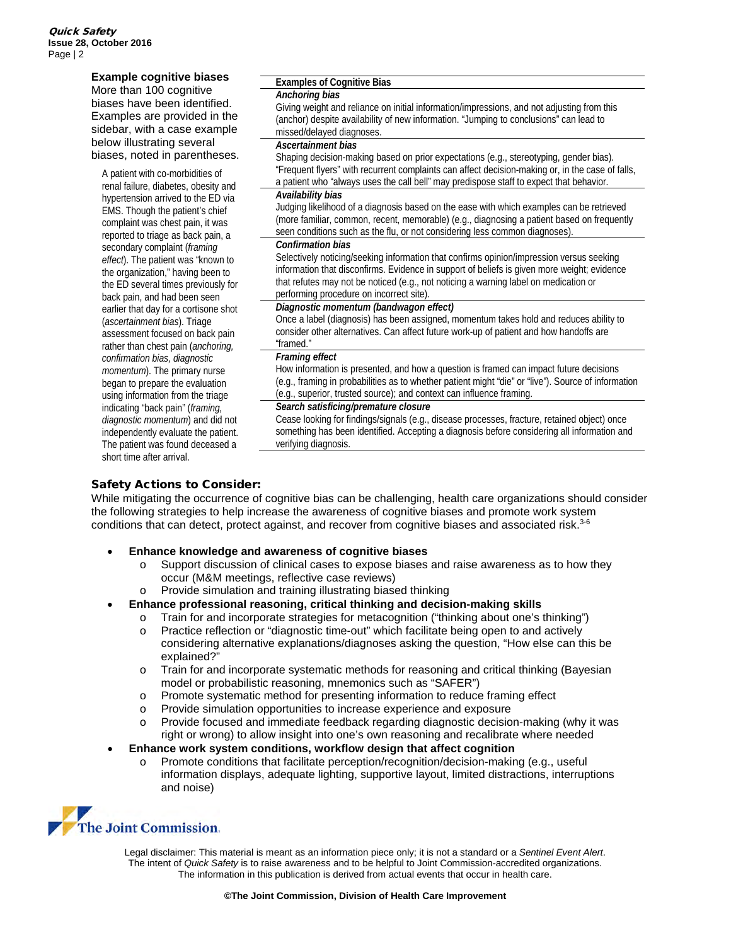| <b>Example cognitive biases</b>       | <b>Examples of Cognitive Bias</b>                                                                   |
|---------------------------------------|-----------------------------------------------------------------------------------------------------|
| More than 100 cognitive               | Anchoring bias                                                                                      |
| biases have been identified.          | Giving weight and reliance on initial information/impressions, and not adjusting from this          |
| Examples are provided in the          | (anchor) despite availability of new information. "Jumping to conclusions" can lead to              |
| sidebar, with a case example          | missed/delayed diagnoses.                                                                           |
| below illustrating several            | Ascertainment bias                                                                                  |
| biases, noted in parentheses.         | Shaping decision-making based on prior expectations (e.g., stereotyping, gender bias).              |
| A patient with co-morbidities of      | "Frequent flyers" with recurrent complaints can affect decision-making or, in the case of falls,    |
| renal failure, diabetes, obesity and  | a patient who "always uses the call bell" may predispose staff to expect that behavior.             |
| hypertension arrived to the ED via    | Availability bias                                                                                   |
| EMS. Though the patient's chief       | Judging likelihood of a diagnosis based on the ease with which examples can be retrieved            |
| complaint was chest pain, it was      | (more familiar, common, recent, memorable) (e.g., diagnosing a patient based on frequently          |
| reported to triage as back pain, a    | seen conditions such as the flu, or not considering less common diagnoses).                         |
| secondary complaint (framing          | Confirmation bias                                                                                   |
| effect). The patient was "known to    | Selectively noticing/seeking information that confirms opinion/impression versus seeking            |
| the organization," having been to     | information that disconfirms. Evidence in support of beliefs is given more weight; evidence         |
| the ED several times previously for   | that refutes may not be noticed (e.g., not noticing a warning label on medication or                |
| back pain, and had been seen          | performing procedure on incorrect site).                                                            |
| earlier that day for a cortisone shot | Diagnostic momentum (bandwagon effect)                                                              |
| (ascertainment bias). Triage          | Once a label (diagnosis) has been assigned, momentum takes hold and reduces ability to              |
| assessment focused on back pain       | consider other alternatives. Can affect future work-up of patient and how handoffs are              |
| rather than chest pain (anchoring,    | "framed."                                                                                           |
| confirmation bias, diagnostic         | Framing effect                                                                                      |
| momentum). The primary nurse          | How information is presented, and how a question is framed can impact future decisions              |
| began to prepare the evaluation       | (e.g., framing in probabilities as to whether patient might "die" or "live"). Source of information |
| using information from the triage     | (e.g., superior, trusted source); and context can influence framing.                                |
| indicating "back pain" (framing,      | Search satisficing/premature closure                                                                |
| diagnostic momentum) and did not      | Cease looking for findings/signals (e.g., disease processes, fracture, retained object) once        |
| independently evaluate the patient.   | something has been identified. Accepting a diagnosis before considering all information and         |
| The patient was found deceased a      | verifying diagnosis.                                                                                |
| short time after arrival.             |                                                                                                     |

## Safety Actions to Consider:

While mitigating the occurrence of cognitive bias can be challenging, health care organizations should consider the following strategies to help increase the awareness of cognitive biases and promote work system conditions that can detect, protect against, and recover from cognitive biases and associated risk. 3-6

- **Enhance knowledge and awareness of cognitive biases**
	- o Support discussion of clinical cases to expose biases and raise awareness as to how they occur (M&M meetings, reflective case reviews)
	- o Provide simulation and training illustrating biased thinking
- **Enhance professional reasoning, critical thinking and decision-making skills**
	- o Train for and incorporate strategies for metacognition ("thinking about one's thinking") o Practice reflection or "diagnostic time-out" which facilitate being open to and actively
	- considering alternative explanations/diagnoses asking the question, "How else can this be explained?"
	- o Train for and incorporate systematic methods for reasoning and critical thinking (Bayesian model or probabilistic reasoning, mnemonics such as "SAFER")
	- o Promote systematic method for presenting information to reduce framing effect
	- o Provide simulation opportunities to increase experience and exposure<br> **Provide focused and immediate feedback regarding diagnostic decisio**
	- Provide focused and immediate feedback regarding diagnostic decision-making (why it was right or wrong) to allow insight into one's own reasoning and recalibrate where needed

## • **Enhance work system conditions, workflow design that affect cognition**

o Promote conditions that facilitate perception/recognition/decision-making (e.g., useful information displays, adequate lighting, supportive layout, limited distractions, interruptions and noise)



Legal disclaimer: This material is meant as an information piece only; it is not a standard or a *Sentinel Event Alert*. The intent of *Quick Safety* is to raise awareness and to be helpful to Joint Commission-accredited organizations. The information in this publication is derived from actual events that occur in health care.